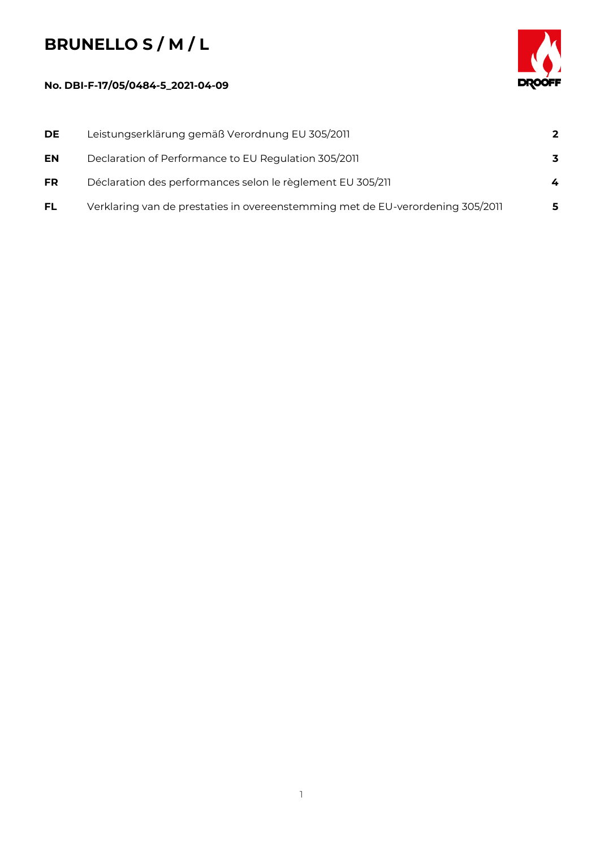## **BRUNELLO S / M / L**

## **No. DBI-F-17/05/0484-5\_2021-04-09**



| DE.       | Leistungserklärung gemäß Verordnung EU 305/2011                                | $\overline{2}$ |
|-----------|--------------------------------------------------------------------------------|----------------|
| EN        | Declaration of Performance to EU Regulation 305/2011                           | 3              |
| <b>FR</b> | Déclaration des performances selon le règlement EU 305/211                     | 4              |
| <b>FL</b> | Verklaring van de prestaties in overeenstemming met de EU-verordening 305/2011 | 5              |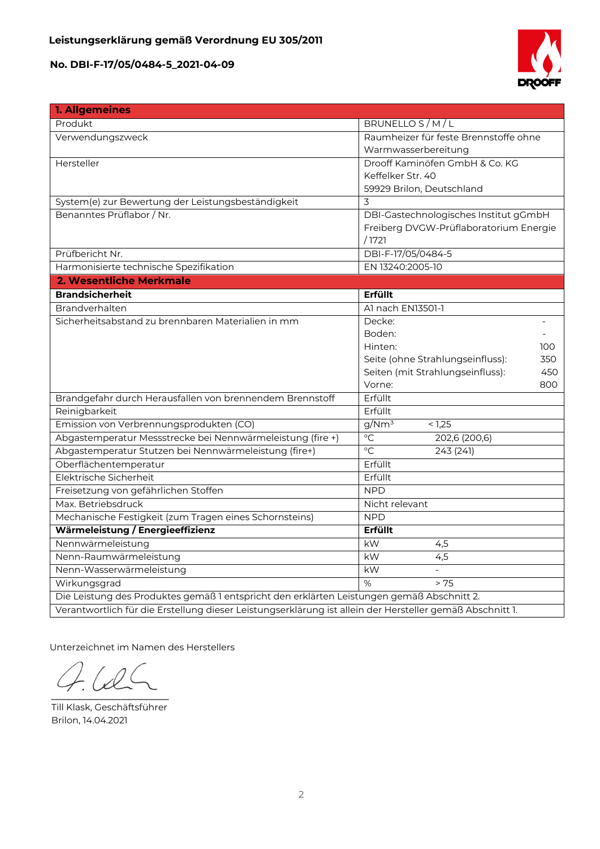

| 1. Allgemeines                                                                            |                                                                                                          |  |  |  |  |
|-------------------------------------------------------------------------------------------|----------------------------------------------------------------------------------------------------------|--|--|--|--|
| Produkt                                                                                   | BRUNELLO S/M/L                                                                                           |  |  |  |  |
| Verwendungszweck                                                                          | Raumheizer für feste Brennstoffe ohne                                                                    |  |  |  |  |
|                                                                                           | Warmwasserbereitung                                                                                      |  |  |  |  |
| Hersteller                                                                                | Drooff Kaminöfen GmbH & Co. KG                                                                           |  |  |  |  |
|                                                                                           | Keffelker Str. 40                                                                                        |  |  |  |  |
|                                                                                           | 59929 Brilon, Deutschland                                                                                |  |  |  |  |
| System(e) zur Bewertung der Leistungsbeständigkeit                                        | 3                                                                                                        |  |  |  |  |
| Benanntes Prüflabor / Nr.                                                                 | DBI-Gastechnologisches Institut gGmbH                                                                    |  |  |  |  |
|                                                                                           | Freiberg DVGW-Prüflaboratorium Energie                                                                   |  |  |  |  |
|                                                                                           | /1721                                                                                                    |  |  |  |  |
| Prüfbericht Nr.                                                                           | DBI-F-17/05/0484-5                                                                                       |  |  |  |  |
| Harmonisierte technische Spezifikation                                                    | EN 13240:2005-10                                                                                         |  |  |  |  |
| 2. Wesentliche Merkmale                                                                   |                                                                                                          |  |  |  |  |
| <b>Brandsicherheit</b>                                                                    | <b>Erfüllt</b>                                                                                           |  |  |  |  |
| Brandverhalten                                                                            | Al nach EN13501-1                                                                                        |  |  |  |  |
| Sicherheitsabstand zu brennbaren Materialien in mm                                        | Decke:                                                                                                   |  |  |  |  |
|                                                                                           | Boden:                                                                                                   |  |  |  |  |
|                                                                                           | Hinten:<br>100                                                                                           |  |  |  |  |
|                                                                                           | Seite (ohne Strahlungseinfluss):<br>350                                                                  |  |  |  |  |
|                                                                                           | Seiten (mit Strahlungseinfluss):<br>450                                                                  |  |  |  |  |
|                                                                                           | Vorne:<br>800                                                                                            |  |  |  |  |
| Brandgefahr durch Herausfallen von brennendem Brennstoff                                  | Erfüllt                                                                                                  |  |  |  |  |
| Reinigbarkeit                                                                             | Erfüllt                                                                                                  |  |  |  |  |
| Emission von Verbrennungsprodukten (CO)                                                   | g/Nm <sup>3</sup><br>< 1.25                                                                              |  |  |  |  |
| Abgastemperatur Messstrecke bei Nennwärmeleistung (fire +)                                | $\overline{C}$<br>202,6 (200,6)                                                                          |  |  |  |  |
| Abgastemperatur Stutzen bei Nennwärmeleistung (fire+)                                     | $\circ$ C<br>243(241)                                                                                    |  |  |  |  |
| Oberflächentemperatur                                                                     | Erfüllt                                                                                                  |  |  |  |  |
| Elektrische Sicherheit                                                                    | Erfüllt                                                                                                  |  |  |  |  |
| Freisetzung von gefährlichen Stoffen                                                      | <b>NPD</b>                                                                                               |  |  |  |  |
| Max. Betriebsdruck                                                                        | Nicht relevant                                                                                           |  |  |  |  |
| Mechanische Festigkeit (zum Tragen eines Schornsteins)                                    | <b>NPD</b>                                                                                               |  |  |  |  |
| Wärmeleistung / Energieeffizienz                                                          | Erfüllt                                                                                                  |  |  |  |  |
| Nennwärmeleistung                                                                         | kW<br>4,5                                                                                                |  |  |  |  |
| Nenn-Raumwärmeleistung                                                                    | 4,5<br>kW                                                                                                |  |  |  |  |
| Nenn-Wasserwärmeleistung                                                                  | kW                                                                                                       |  |  |  |  |
| Wirkungsgrad                                                                              | $\%$<br>> 75                                                                                             |  |  |  |  |
| Die Leistung des Produktes gemäß 1 entspricht den erklärten Leistungen gemäß Abschnitt 2. |                                                                                                          |  |  |  |  |
|                                                                                           | Verantwortlich für die Erstellung dieser Leistungserklärung ist allein der Hersteller gemäß Abschnitt 1. |  |  |  |  |

Unterzeichnet im Namen des Herstellers

 $\mathcal{D}$  $\overline{\phantom{a}}$ 

Till Klask, Geschäftsführer Brilon, 14.04.2021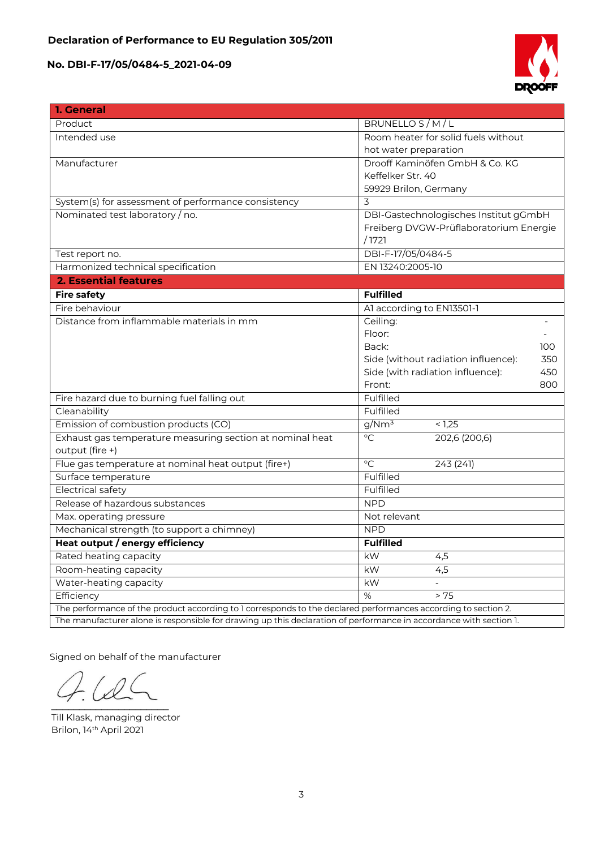

| 1. General                                                                                                         |                                            |  |  |
|--------------------------------------------------------------------------------------------------------------------|--------------------------------------------|--|--|
| Product                                                                                                            | BRUNELLO S/M/L                             |  |  |
| Intended use                                                                                                       | Room heater for solid fuels without        |  |  |
|                                                                                                                    | hot water preparation                      |  |  |
| Manufacturer                                                                                                       | Drooff Kaminöfen GmbH & Co. KG             |  |  |
|                                                                                                                    | Keffelker Str. 40                          |  |  |
|                                                                                                                    | 59929 Brilon, Germany                      |  |  |
| System(s) for assessment of performance consistency                                                                | 3                                          |  |  |
| Nominated test laboratory / no.                                                                                    | DBI-Gastechnologisches Institut gGmbH      |  |  |
|                                                                                                                    | Freiberg DVGW-Prüflaboratorium Energie     |  |  |
|                                                                                                                    | /1721                                      |  |  |
| Test report no.                                                                                                    | DBI-F-17/05/0484-5                         |  |  |
| Harmonized technical specification                                                                                 | EN 13240:2005-10                           |  |  |
| <b>2. Essential features</b>                                                                                       |                                            |  |  |
| <b>Fire safety</b>                                                                                                 | <b>Fulfilled</b>                           |  |  |
| Fire behaviour                                                                                                     | Al according to EN13501-1                  |  |  |
| Distance from inflammable materials in mm                                                                          | Ceiling:                                   |  |  |
|                                                                                                                    | Floor:                                     |  |  |
|                                                                                                                    | Back:<br>100                               |  |  |
|                                                                                                                    | Side (without radiation influence):<br>350 |  |  |
|                                                                                                                    | Side (with radiation influence):<br>450    |  |  |
|                                                                                                                    | Front:<br>800                              |  |  |
| Fire hazard due to burning fuel falling out                                                                        | Fulfilled                                  |  |  |
| Cleanability                                                                                                       | Fulfilled                                  |  |  |
| Emission of combustion products (CO)                                                                               | g/Nm <sup>3</sup><br>< 1,25                |  |  |
| Exhaust gas temperature measuring section at nominal heat                                                          | $\overline{C}$<br>202,6 (200,6)            |  |  |
| output (fire +)                                                                                                    |                                            |  |  |
| Flue gas temperature at nominal heat output (fire+)                                                                | $\circ$ C<br>243 (241)                     |  |  |
| Surface temperature                                                                                                | Fulfilled                                  |  |  |
| <b>Electrical safety</b>                                                                                           | Fulfilled                                  |  |  |
| Release of hazardous substances                                                                                    | <b>NPD</b>                                 |  |  |
| Max. operating pressure                                                                                            | Not relevant                               |  |  |
| Mechanical strength (to support a chimney)                                                                         | <b>NPD</b>                                 |  |  |
| Heat output / energy efficiency                                                                                    | <b>Fulfilled</b>                           |  |  |
| Rated heating capacity                                                                                             | kW<br>4,5                                  |  |  |
| Room-heating capacity                                                                                              | kW<br>4,5                                  |  |  |
| Water-heating capacity                                                                                             | kW                                         |  |  |
| Efficiency                                                                                                         | %<br>> 75                                  |  |  |
| The performance of the product according to 1 corresponds to the declared performances according to section 2.     |                                            |  |  |
| The manufacturer alone is responsible for drawing up this declaration of performance in accordance with section 1. |                                            |  |  |

Signed on behalf of the manufacturer

 $\mathcal{L}$  and  $\mathcal{L}$  and  $\mathcal{L}$ 

Till Klask, managing director Brilon, 14th April 2021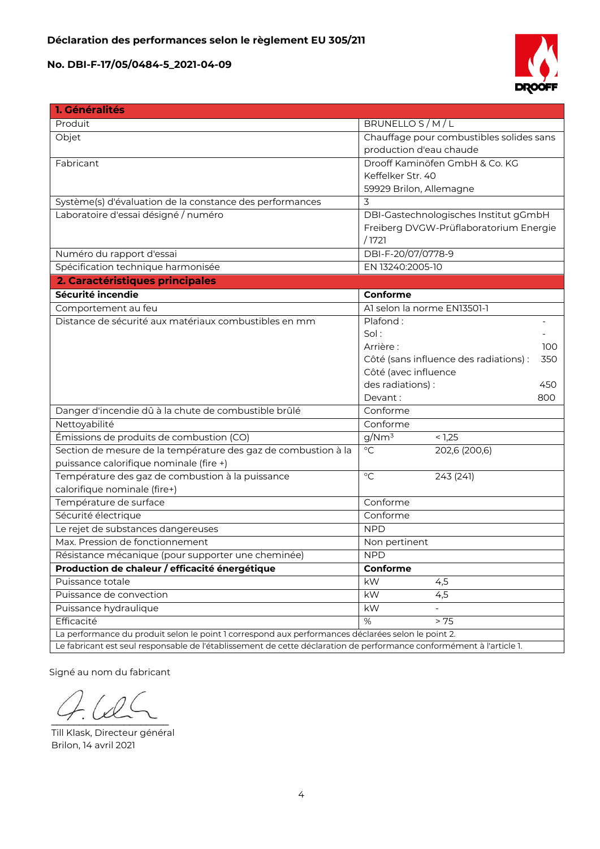

| 1. Généralités                                                                                                       |                                               |  |  |
|----------------------------------------------------------------------------------------------------------------------|-----------------------------------------------|--|--|
| Produit                                                                                                              | BRUNELLO S/M/L                                |  |  |
| Objet                                                                                                                | Chauffage pour combustibles solides sans      |  |  |
|                                                                                                                      | production d'eau chaude                       |  |  |
| Fabricant                                                                                                            | Drooff Kaminöfen GmbH & Co. KG                |  |  |
|                                                                                                                      | Keffelker Str. 40                             |  |  |
|                                                                                                                      | 59929 Brilon, Allemagne                       |  |  |
| Système(s) d'évaluation de la constance des performances                                                             | 3                                             |  |  |
| Laboratoire d'essai désigné / numéro                                                                                 | DBI-Gastechnologisches Institut gGmbH         |  |  |
|                                                                                                                      | Freiberg DVGW-Prüflaboratorium Energie        |  |  |
|                                                                                                                      | /1721                                         |  |  |
| Numéro du rapport d'essai                                                                                            | DBI-F-20/07/0778-9                            |  |  |
| Spécification technique harmonisée                                                                                   | EN 13240:2005-10                              |  |  |
| 2. Caractéristiques principales                                                                                      |                                               |  |  |
| Sécurité incendie                                                                                                    | Conforme                                      |  |  |
| Comportement au feu                                                                                                  | Al selon la norme EN13501-1                   |  |  |
| Distance de sécurité aux matériaux combustibles en mm                                                                | Plafond:                                      |  |  |
|                                                                                                                      | Sol:                                          |  |  |
|                                                                                                                      | Arrière :<br>100                              |  |  |
|                                                                                                                      | Côté (sans influence des radiations) :<br>350 |  |  |
|                                                                                                                      | Côté (avec influence                          |  |  |
|                                                                                                                      | des radiations) :<br>450                      |  |  |
|                                                                                                                      | Devant:<br>800                                |  |  |
| Danger d'incendie dû à la chute de combustible brûlé                                                                 | Conforme                                      |  |  |
| Nettoyabilité                                                                                                        | Conforme                                      |  |  |
| Émissions de produits de combustion (CO)                                                                             | g/Nm <sup>3</sup><br>< 1,25                   |  |  |
| Section de mesure de la température des gaz de combustion à la                                                       | $\overline{C}$<br>202,6 (200,6)               |  |  |
| puissance calorifique nominale (fire +)                                                                              |                                               |  |  |
| Température des gaz de combustion à la puissance                                                                     | $\circ$ C<br>243 (241)                        |  |  |
| calorifique nominale (fire+)                                                                                         |                                               |  |  |
| Température de surface                                                                                               | Conforme                                      |  |  |
| Sécurité électrique                                                                                                  | Conforme                                      |  |  |
| Le rejet de substances dangereuses                                                                                   | <b>NPD</b>                                    |  |  |
| Max. Pression de fonctionnement                                                                                      | Non pertinent                                 |  |  |
| Résistance mécanique (pour supporter une cheminée)                                                                   | <b>NPD</b>                                    |  |  |
| Production de chaleur / efficacité énergétique                                                                       | Conforme                                      |  |  |
| Puissance totale                                                                                                     | kW<br>4,5                                     |  |  |
| Puissance de convection                                                                                              | 4,5<br>kW                                     |  |  |
| Puissance hydraulique                                                                                                | kW                                            |  |  |
| Efficacité                                                                                                           | > 75<br>%                                     |  |  |
| La performance du produit selon le point 1 correspond aux performances déclarées selon le point 2.                   |                                               |  |  |
| Le fabricant est seul responsable de l'établissement de cette déclaration de performance conformément à l'article 1. |                                               |  |  |

Signé au nom du fabricant

 $\sim$ 

Till Klask, Directeur général Brilon, 14 avril 2021